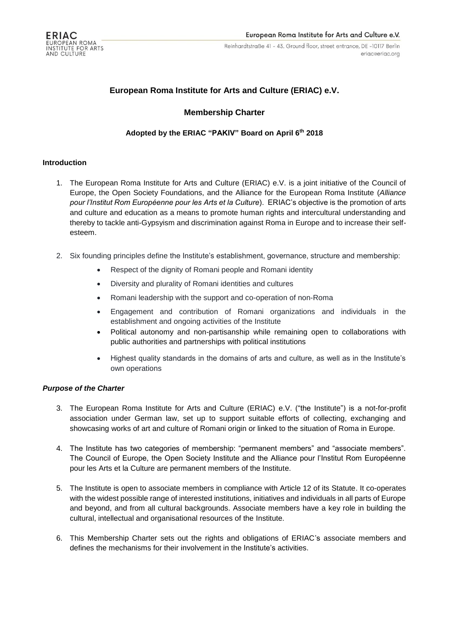

# **European Roma Institute for Arts and Culture (ERIAC) e.V.**

## **Membership Charter**

## **Adopted by the ERIAC "PAKIV" Board on April 6th 2018**

#### **Introduction**

- 1. The European Roma Institute for Arts and Culture (ERIAC) e.V. is a joint initiative of the Council of Europe, the Open Society Foundations, and the Alliance for the European Roma Institute (*Alliance pour l'Institut Rom Européenne pour les Arts et la Culture*). ERIAC's objective is the promotion of arts and culture and education as a means to promote human rights and intercultural understanding and thereby to tackle anti-Gypsyism and discrimination against Roma in Europe and to increase their selfesteem.
- 2. Six founding principles define the Institute's establishment, governance, structure and membership:
	- Respect of the dignity of Romani people and Romani identity
	- Diversity and plurality of Romani identities and cultures
	- Romani leadership with the support and co-operation of non-Roma
	- Engagement and contribution of Romani organizations and individuals in the establishment and ongoing activities of the Institute
	- Political autonomy and non-partisanship while remaining open to collaborations with public authorities and partnerships with political institutions
	- Highest quality standards in the domains of arts and culture, as well as in the Institute's own operations

#### *Purpose of the Charter*

- 3. The European Roma Institute for Arts and Culture (ERIAC) e.V. ("the Institute") is a not-for-profit association under German law, set up to support suitable efforts of collecting, exchanging and showcasing works of art and culture of Romani origin or linked to the situation of Roma in Europe.
- 4. The Institute has two categories of membership: "permanent members" and "associate members". The Council of Europe, the Open Society Institute and the Alliance pour l'Institut Rom Européenne pour les Arts et la Culture are permanent members of the Institute.
- 5. The Institute is open to associate members in compliance with Article 12 of its Statute. It co-operates with the widest possible range of interested institutions, initiatives and individuals in all parts of Europe and beyond, and from all cultural backgrounds. Associate members have a key role in building the cultural, intellectual and organisational resources of the Institute.
- 6. This Membership Charter sets out the rights and obligations of ERIAC's associate members and defines the mechanisms for their involvement in the Institute's activities.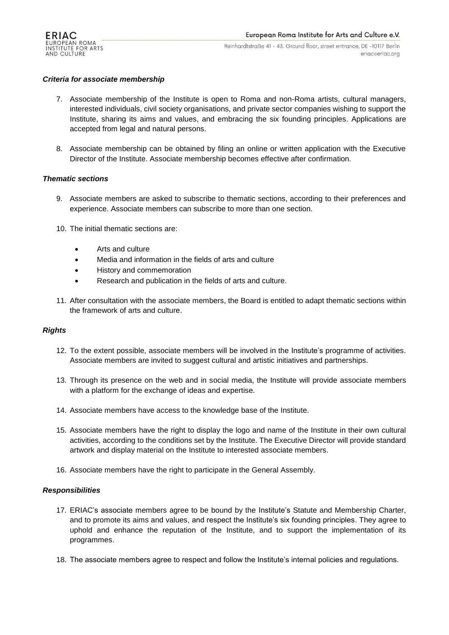

#### *Criteria for associate membership*

- 7. Associate membership of the Institute is open to Roma and non-Roma artists, cultural managers, interested individuals, civil society organisations, and private sector companies wishing to support the Institute, sharing its aims and values, and embracing the six founding principles. Applications are accepted from legal and natural persons.
- 8. Associate membership can be obtained by filing an online or written application with the Executive Director of the Institute. Associate membership becomes effective after confirmation.

#### *Thematic sections*

- 9. Associate members are asked to subscribe to thematic sections, according to their preferences and experience. Associate members can subscribe to more than one section.
- 10. The initial thematic sections are:
	- Arts and culture
	- Media and information in the fields of arts and culture
	- History and commemoration
	- Research and publication in the fields of arts and culture.
- 11. After consultation with the associate members, the Board is entitled to adapt thematic sections within the framework of arts and culture.

#### *Rights*

- 12. To the extent possible, associate members will be involved in the Institute's programme of activities. Associate members are invited to suggest cultural and artistic initiatives and partnerships.
- 13. Through its presence on the web and in social media, the Institute will provide associate members with a platform for the exchange of ideas and expertise.
- 14. Associate members have access to the knowledge base of the Institute.
- 15. Associate members have the right to display the logo and name of the Institute in their own cultural activities, according to the conditions set by the Institute. The Executive Director will provide standard artwork and display material on the Institute to interested associate members.
- 16. Associate members have the right to participate in the General Assembly.

#### *Responsibilities*

- 17. ERIAC's associate members agree to be bound by the Institute's Statute and Membership Charter, and to promote its aims and values, and respect the Institute's six founding principles. They agree to uphold and enhance the reputation of the Institute, and to support the implementation of its programmes.
- 18. The associate members agree to respect and follow the Institute's internal policies and regulations.